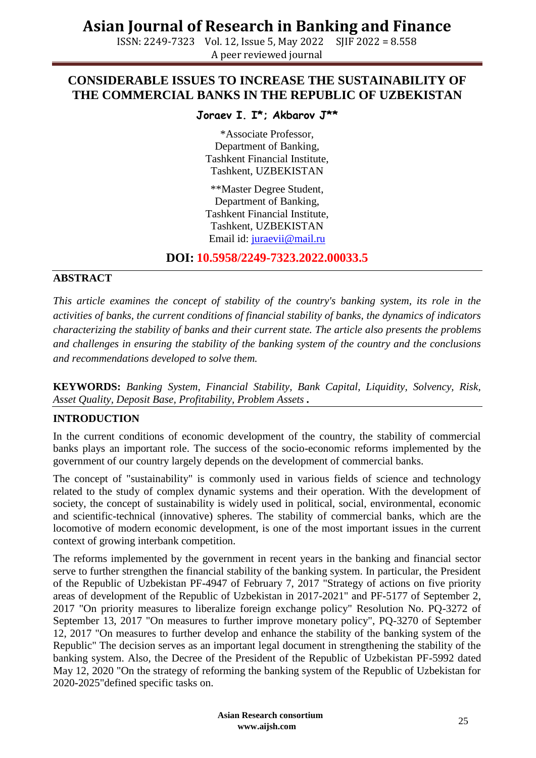ISSN: 2249-7323 Vol. 12, Issue 5, May 2022 SJIF 2022 = 8.558 A peer reviewed journal

### **CONSIDERABLE ISSUES TO INCREASE THE SUSTAINABILITY OF THE COMMERCIAL BANKS IN THE REPUBLIC OF UZBEKISTAN**

### **Joraev I. I\*; Akbarov J\*\***

\*Associate Professor, Department of Banking, Tashkent Financial Institute, Tashkent, UZBEKISTAN

\*\*Master Degree Student, Department of Banking, Tashkent Financial Institute, Tashkent, UZBEKISTAN Email id: [juraevii@mail.ru](mailto:juraevii@mail.ru)

**DOI: 10.5958/2249-7323.2022.00033.5**

#### **ABSTRACT**

*This article examines the concept of stability of the country's banking system, its role in the activities of banks, the current conditions of financial stability of banks, the dynamics of indicators characterizing the stability of banks and their current state. The article also presents the problems and challenges in ensuring the stability of the banking system of the country and the conclusions and recommendations developed to solve them.*

**KEYWORDS:** *Banking System, Financial Stability, Bank Capital, Liquidity, Solvency, Risk, Asset Quality, Deposit Base, Profitability, Problem Assets .*

#### **INTRODUCTION**

In the current conditions of economic development of the country, the stability of commercial banks plays an important role. The success of the socio-economic reforms implemented by the government of our country largely depends on the development of commercial banks.

The concept of "sustainability" is commonly used in various fields of science and technology related to the study of complex dynamic systems and their operation. With the development of society, the concept of sustainability is widely used in political, social, environmental, economic and scientific-technical (innovative) spheres. The stability of commercial banks, which are the locomotive of modern economic development, is one of the most important issues in the current context of growing interbank competition.

The reforms implemented by the government in recent years in the banking and financial sector serve to further strengthen the financial stability of the banking system. In particular, the President of the Republic of Uzbekistan PF-4947 of February 7, 2017 "Strategy of actions on five priority areas of development of the Republic of Uzbekistan in 2017-2021" and PF-5177 of September 2, 2017 "On priority measures to liberalize foreign exchange policy" Resolution No. PQ-3272 of September 13, 2017 "On measures to further improve monetary policy", PQ-3270 of September 12, 2017 "On measures to further develop and enhance the stability of the banking system of the Republic" The decision serves as an important legal document in strengthening the stability of the banking system. Also, the Decree of the President of the Republic of Uzbekistan PF-5992 dated May 12, 2020 "On the strategy of reforming the banking system of the Republic of Uzbekistan for 2020-2025"defined specific tasks on.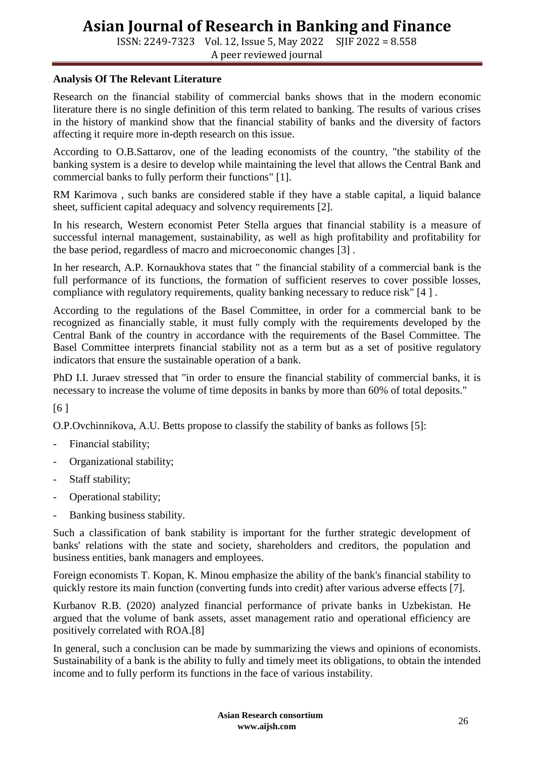ISSN: 2249-7323 Vol. 12, Issue 5, May 2022 SJIF 2022 = 8.558 A peer reviewed journal

#### **Analysis Of The Relevant Literature**

Research on the financial stability of commercial banks shows that in the modern economic literature there is no single definition of this term related to banking. The results of various crises in the history of mankind show that the financial stability of banks and the diversity of factors affecting it require more in-depth research on this issue.

According to O.B.Sattarov, one of the leading economists of the country, "the stability of the banking system is a desire to develop while maintaining the level that allows the Central Bank and commercial banks to fully perform their functions" [1].

RM Karimova , such banks are considered stable if they have a stable capital, a liquid balance sheet, sufficient capital adequacy and solvency requirements [2].

In his research, Western economist Peter Stella argues that financial stability is a measure of successful internal management, sustainability, as well as high profitability and profitability for the base period, regardless of macro and microeconomic changes [3] .

In her research, A.P. Kornaukhova states that " the financial stability of a commercial bank is the full performance of its functions, the formation of sufficient reserves to cover possible losses, compliance with regulatory requirements, quality banking necessary to reduce risk" [4 ] .

According to the regulations of the Basel Committee, in order for a commercial bank to be recognized as financially stable, it must fully comply with the requirements developed by the Central Bank of the country in accordance with the requirements of the Basel Committee. The Basel Committee interprets financial stability not as a term but as a set of positive regulatory indicators that ensure the sustainable operation of a bank.

PhD I.I. Juraev stressed that "in order to ensure the financial stability of commercial banks, it is necessary to increase the volume of time deposits in banks by more than 60% of total deposits."

[6 ]

O.P.Ovchinnikova, A.U. Betts propose to classify the stability of banks as follows [5]:

- Financial stability;
- Organizational stability;
- Staff stability;
- Operational stability;
- Banking business stability.

Such a classification of bank stability is important for the further strategic development of banks' relations with the state and society, shareholders and creditors, the population and business entities, bank managers and employees.

Foreign economists T. Kopan, K. Minou emphasize the ability of the bank's financial stability to quickly restore its main function (converting funds into credit) after various adverse effects [7].

Kurbanov R.B. (2020) analyzed financial performance of private banks in Uzbekistan. He argued that the volume of bank assets, asset management ratio and operational efficiency are positively correlated with ROA.[8]

In general, such a conclusion can be made by summarizing the views and opinions of economists. Sustainability of a bank is the ability to fully and timely meet its obligations, to obtain the intended income and to fully perform its functions in the face of various instability.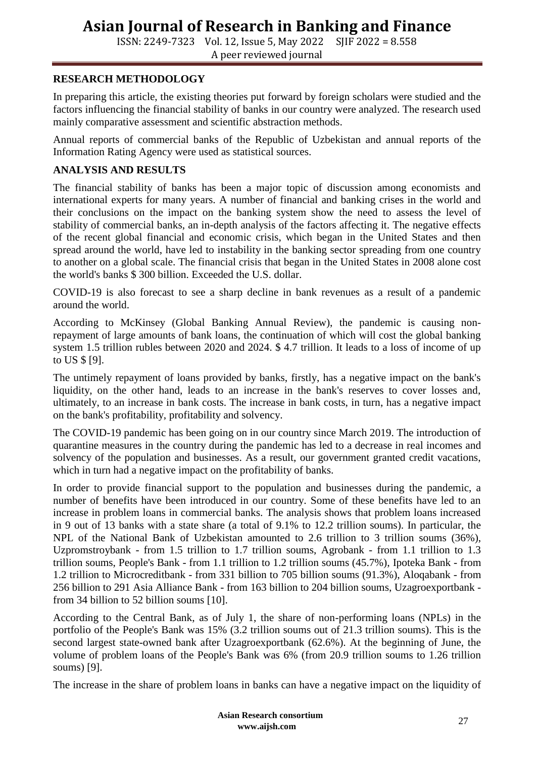ISSN: 2249-7323 Vol. 12, Issue 5, May 2022 SJIF 2022 = 8.558 A peer reviewed journal

#### **RESEARCH METHODOLOGY**

In preparing this article, the existing theories put forward by foreign scholars were studied and the factors influencing the financial stability of banks in our country were analyzed. The research used mainly comparative assessment and scientific abstraction methods.

Annual reports of commercial banks of the Republic of Uzbekistan and annual reports of the Information Rating Agency were used as statistical sources.

#### **ANALYSIS AND RESULTS**

The financial stability of banks has been a major topic of discussion among economists and international experts for many years. A number of financial and banking crises in the world and their conclusions on the impact on the banking system show the need to assess the level of stability of commercial banks, an in-depth analysis of the factors affecting it. The negative effects of the recent global financial and economic crisis, which began in the United States and then spread around the world, have led to instability in the banking sector spreading from one country to another on a global scale. The financial crisis that began in the United States in 2008 alone cost the world's banks \$ 300 billion. Exceeded the U.S. dollar.

COVID-19 is also forecast to see a sharp decline in bank revenues as a result of a pandemic around the world.

According to McKinsey (Global Banking Annual Review), the pandemic is causing nonrepayment of large amounts of bank loans, the continuation of which will cost the global banking system 1.5 trillion rubles between 2020 and 2024. \$ 4.7 trillion. It leads to a loss of income of up to US \$ [9].

The untimely repayment of loans provided by banks, firstly, has a negative impact on the bank's liquidity, on the other hand, leads to an increase in the bank's reserves to cover losses and, ultimately, to an increase in bank costs. The increase in bank costs, in turn, has a negative impact on the bank's profitability, profitability and solvency.

The COVID-19 pandemic has been going on in our country since March 2019. The introduction of quarantine measures in the country during the pandemic has led to a decrease in real incomes and solvency of the population and businesses. As a result, our government granted credit vacations, which in turn had a negative impact on the profitability of banks.

In order to provide financial support to the population and businesses during the pandemic, a number of benefits have been introduced in our country. Some of these benefits have led to an increase in problem loans in commercial banks. The analysis shows that problem loans increased in 9 out of 13 banks with a state share (a total of 9.1% to 12.2 trillion soums). In particular, the NPL of the National Bank of Uzbekistan amounted to 2.6 trillion to 3 trillion soums (36%), Uzpromstroybank - from 1.5 trillion to 1.7 trillion soums, Agrobank - from 1.1 trillion to 1.3 trillion soums, People's Bank - from 1.1 trillion to 1.2 trillion soums (45.7%), Ipoteka Bank - from 1.2 trillion to Microcreditbank - from 331 billion to 705 billion soums (91.3%), Aloqabank - from 256 billion to 291 Asia Alliance Bank - from 163 billion to 204 billion soums, Uzagroexportbank from 34 billion to 52 billion soums [10].

According to the Central Bank, as of July 1, the share of non-performing loans (NPLs) in the portfolio of the People's Bank was 15% (3.2 trillion soums out of 21.3 trillion soums). This is the second largest state-owned bank after Uzagroexportbank (62.6%). At the beginning of June, the volume of problem loans of the People's Bank was 6% (from 20.9 trillion soums to 1.26 trillion soums) [9].

The increase in the share of problem loans in banks can have a negative impact on the liquidity of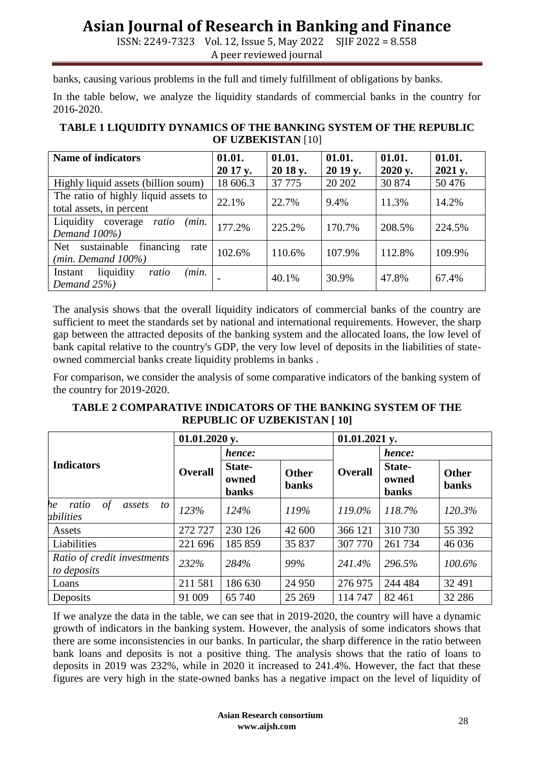ISSN: 2249-7323 Vol. 12, Issue 5, May 2022 SJIF 2022 = 8.558 A peer reviewed journal

banks, causing various problems in the full and timely fulfillment of obligations by banks.

In the table below, we analyze the liquidity standards of commercial banks in the country for 2016-2020.

#### **TABLE 1 LIQUIDITY DYNAMICS OF THE BANKING SYSTEM OF THE REPUBLIC OF UZBEKISTAN** [10]

| <b>Name of indicators</b>                                          | 01.01.<br>20 17 y. | 01.01.<br>20 18 y. | 01.01.<br>20 19 y. | 01.01.<br>2020 y. | 01.01.<br>2021 y. |
|--------------------------------------------------------------------|--------------------|--------------------|--------------------|-------------------|-------------------|
| Highly liquid assets (billion soum)                                | 18 606.3           | 37 7 7 5           | 20 20 2            | 30 874            | 50 476            |
| The ratio of highly liquid assets to<br>total assets, in percent   | 22.1%              | 22.7%              | 9.4%               | 11.3%             | 14.2%             |
| Liquidity<br>(min.<br>coverage<br>ratio<br>Demand 100%)            | 177.2%             | 225.2%             | 170.7%             | 208.5%            | 224.5%            |
| financing<br>sustainable<br>Net<br>rate<br>$(min.$ Demand $100\%)$ | 102.6%             | 110.6%             | 107.9%             | 112.8%            | 109.9%            |
| (min.<br>liquidity<br>Instant<br>ratio<br>Demand 25%)              |                    | 40.1%              | 30.9%              | 47.8%             | 67.4%             |

The analysis shows that the overall liquidity indicators of commercial banks of the country are sufficient to meet the standards set by national and international requirements. However, the sharp gap between the attracted deposits of the banking system and the allocated loans, the low level of bank capital relative to the country's GDP, the very low level of deposits in the liabilities of stateowned commercial banks create liquidity problems in banks .

For comparison, we consider the analysis of some comparative indicators of the banking system of the country for 2019-2020.

**TABLE 2 COMPARATIVE INDICATORS OF THE BANKING SYSTEM OF THE REPUBLIC OF UZBEKISTAN [ 10]**

|                                                        | $01.01.2020$ y. |                                 |                              | $01.01.2021$ y. |                                 |                       |
|--------------------------------------------------------|-----------------|---------------------------------|------------------------------|-----------------|---------------------------------|-----------------------|
| <b>Indicators</b>                                      |                 | hence:                          |                              |                 | hence:                          |                       |
|                                                        | <b>Overall</b>  | State-<br>owned<br><b>banks</b> | <b>Other</b><br><b>banks</b> | <b>Overall</b>  | State-<br>owned<br><b>banks</b> | Other<br><b>banks</b> |
| ratio<br>$\sigma f$<br>he<br>assets<br>to<br>abilities | 123%            | 124%                            | 119%                         | 119.0%          | 118.7%                          | 120.3%                |
| Assets                                                 | 272 727         | 230 126                         | 42 600                       | 366 121         | 310 730                         | 55 392                |
| Liabilities                                            | 221 696         | 185 859                         | 35 837                       | 307 770         | 261 734                         | 46 0 36               |
| Ratio of credit investments<br>to deposits             | 232%            | 284%                            | 99%                          | 241.4%          | 296.5%                          | 100.6%                |
| Loans                                                  | 211 581         | 186 630                         | 24 950                       | 276 975         | 244 484                         | 32 491                |
| Deposits                                               | 91 009          | 65 740                          | 25 26 9                      | 114 747         | 82 4 61                         | 32 28 6               |

If we analyze the data in the table, we can see that in 2019-2020, the country will have a dynamic growth of indicators in the banking system. However, the analysis of some indicators shows that there are some inconsistencies in our banks. In particular, the sharp difference in the ratio between bank loans and deposits is not a positive thing. The analysis shows that the ratio of loans to deposits in 2019 was 232%, while in 2020 it increased to 241.4%. However, the fact that these figures are very high in the state-owned banks has a negative impact on the level of liquidity of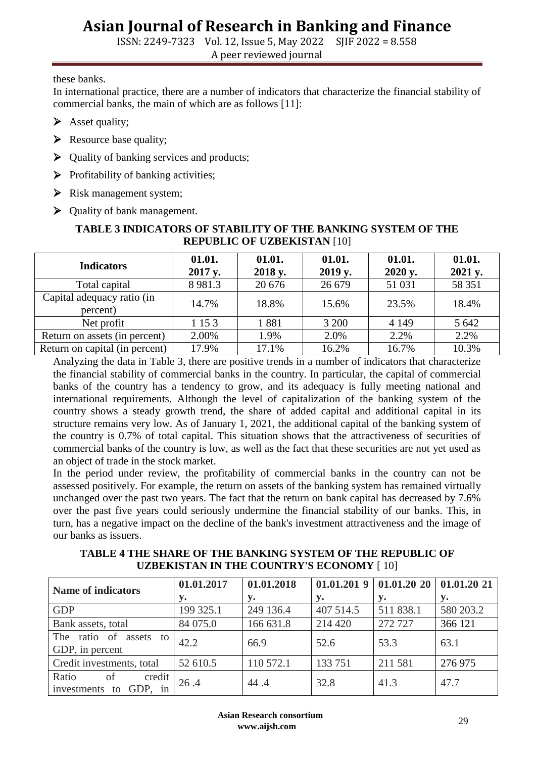ISSN: 2249-7323 Vol. 12, Issue 5, May 2022 SJIF 2022 = 8.558

A peer reviewed journal

these banks.

In international practice, there are a number of indicators that characterize the financial stability of commercial banks, the main of which are as follows [11]:

- $\triangleright$  Asset quality;
- $\triangleright$  Resource base quality;
- $\triangleright$  Quality of banking services and products;
- $\triangleright$  Profitability of banking activities;
- $\triangleright$  Risk management system;
- ▶ Quality of bank management.

#### **TABLE 3 INDICATORS OF STABILITY OF THE BANKING SYSTEM OF THE REPUBLIC OF UZBEKISTAN** [10]

| <b>Indicators</b>                      | 01.01.<br>2017 y. | 01.01.<br>2018 y. | 01.01.<br>2019 y. | 01.01.<br>2020 y. | 01.01.<br>2021 y. |
|----------------------------------------|-------------------|-------------------|-------------------|-------------------|-------------------|
| Total capital                          | 8 9 8 1.3         | 20 676            | 26 679            | 51 031            | 58 351            |
| Capital adequacy ratio (in<br>percent) | 14.7%             | 18.8%             | 15.6%             | 23.5%             | 18.4%             |
| Net profit                             | 1 15 3            | 1881              | 3 200             | 4 1 4 9           | 5 6 4 2           |
| Return on assets (in percent)          | 2.00%             | 1.9%              | 2.0%              | 2.2%              | 2.2%              |
| Return on capital (in percent)         | 17.9%             | 17.1%             | 16.2%             | 16.7%             | 10.3%             |

Analyzing the data in Table 3, there are positive trends in a number of indicators that characterize the financial stability of commercial banks in the country. In particular, the capital of commercial banks of the country has a tendency to grow, and its adequacy is fully meeting national and international requirements. Although the level of capitalization of the banking system of the country shows a steady growth trend, the share of added capital and additional capital in its structure remains very low. As of January 1, 2021, the additional capital of the banking system of the country is 0.7% of total capital. This situation shows that the attractiveness of securities of commercial banks of the country is low, as well as the fact that these securities are not yet used as an object of trade in the stock market.

In the period under review, the profitability of commercial banks in the country can not be assessed positively. For example, the return on assets of the banking system has remained virtually unchanged over the past two years. The fact that the return on bank capital has decreased by 7.6% over the past five years could seriously undermine the financial stability of our banks. This, in turn, has a negative impact on the decline of the bank's investment attractiveness and the image of our banks as issuers.

**TABLE 4 THE SHARE OF THE BANKING SYSTEM OF THE REPUBLIC OF UZBEKISTAN IN THE COUNTRY'S ECONOMY** [ 10]

| <b>Name of indicators</b>                          | 01.01.2017 | 01.01.2018 | 01.01.2019 | 01.01.2020101.01.2021 |           |
|----------------------------------------------------|------------|------------|------------|-----------------------|-----------|
|                                                    | <b>y.</b>  | v.         | y.         | v.                    | v.        |
| <b>GDP</b>                                         | 199 325.1  | 249 136.4  | 407 514.5  | 511 838.1             | 580 203.2 |
| Bank assets, total                                 | 84 075.0   | 166 631.8  | 214 420    | 272 727               | 366 121   |
| ratio of<br>The<br>assets to<br>GDP, in percent    | 42.2       | 66.9       | 52.6       | 53.3                  | 63.1      |
| Credit investments, total                          | 52 610.5   | 110 572.1  | 133 751    | 211 581               | 276 975   |
| Ratio<br>credit<br>of<br>investments<br>GDP.<br>to | 26.4       | 44.4       | 32.8       | 41.3                  | 47.7      |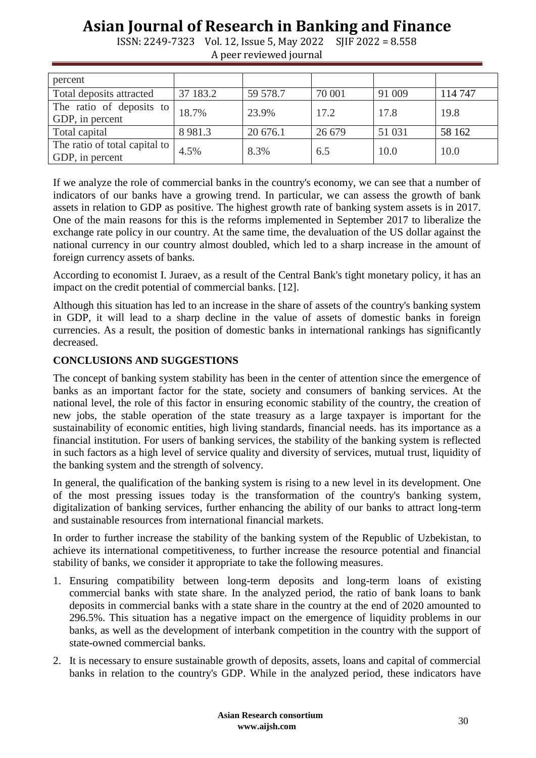| percent                                          |             |          |        |        |         |
|--------------------------------------------------|-------------|----------|--------|--------|---------|
| Total deposits attracted                         | 37 183.2    | 59 578.7 | 70 001 | 91 009 | 114 747 |
| The ratio of deposits to<br>GDP, in percent      | 18.7%       | 23.9%    | 17.2   | 17.8   | 19.8    |
| Total capital                                    | 8 9 8 1 . 3 | 20 676.1 | 26 679 | 51 031 | 58 162  |
| The ratio of total capital to<br>GDP, in percent | 4.5%        | 8.3%     | 6.5    | 10.0   | 10.0    |

ISSN: 2249-7323 Vol. 12, Issue 5, May 2022 SJIF 2022 = 8.558 A peer reviewed journal

If we analyze the role of commercial banks in the country's economy, we can see that a number of indicators of our banks have a growing trend. In particular, we can assess the growth of bank assets in relation to GDP as positive. The highest growth rate of banking system assets is in 2017. One of the main reasons for this is the reforms implemented in September 2017 to liberalize the exchange rate policy in our country. At the same time, the devaluation of the US dollar against the national currency in our country almost doubled, which led to a sharp increase in the amount of foreign currency assets of banks.

According to economist I. Juraev, as a result of the Central Bank's tight monetary policy, it has an impact on the credit potential of commercial banks. [12].

Although this situation has led to an increase in the share of assets of the country's banking system in GDP, it will lead to a sharp decline in the value of assets of domestic banks in foreign currencies. As a result, the position of domestic banks in international rankings has significantly decreased.

#### **CONCLUSIONS AND SUGGESTIONS**

The concept of banking system stability has been in the center of attention since the emergence of banks as an important factor for the state, society and consumers of banking services. At the national level, the role of this factor in ensuring economic stability of the country, the creation of new jobs, the stable operation of the state treasury as a large taxpayer is important for the sustainability of economic entities, high living standards, financial needs. has its importance as a financial institution. For users of banking services, the stability of the banking system is reflected in such factors as a high level of service quality and diversity of services, mutual trust, liquidity of the banking system and the strength of solvency.

In general, the qualification of the banking system is rising to a new level in its development. One of the most pressing issues today is the transformation of the country's banking system, digitalization of banking services, further enhancing the ability of our banks to attract long-term and sustainable resources from international financial markets.

In order to further increase the stability of the banking system of the Republic of Uzbekistan, to achieve its international competitiveness, to further increase the resource potential and financial stability of banks, we consider it appropriate to take the following measures.

- 1. Ensuring compatibility between long-term deposits and long-term loans of existing commercial banks with state share. In the analyzed period, the ratio of bank loans to bank deposits in commercial banks with a state share in the country at the end of 2020 amounted to 296.5%. This situation has a negative impact on the emergence of liquidity problems in our banks, as well as the development of interbank competition in the country with the support of state-owned commercial banks.
- 2. It is necessary to ensure sustainable growth of deposits, assets, loans and capital of commercial banks in relation to the country's GDP. While in the analyzed period, these indicators have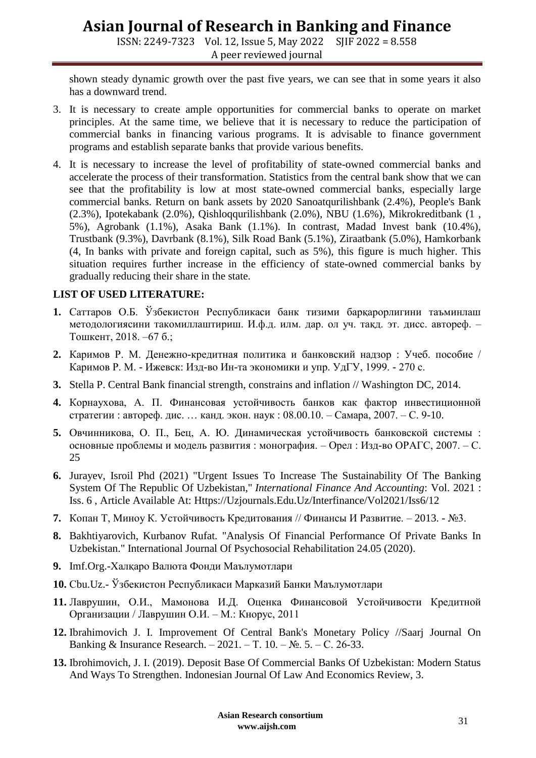ISSN: 2249-7323 Vol. 12, Issue 5, May 2022 SJIF 2022 = 8.558 A peer reviewed journal

shown steady dynamic growth over the past five years, we can see that in some years it also has a downward trend.

- 3. It is necessary to create ample opportunities for commercial banks to operate on market principles. At the same time, we believe that it is necessary to reduce the participation of commercial banks in financing various programs. It is advisable to finance government programs and establish separate banks that provide various benefits.
- 4. It is necessary to increase the level of profitability of state-owned commercial banks and accelerate the process of their transformation. Statistics from the central bank show that we can see that the profitability is low at most state-owned commercial banks, especially large commercial banks. Return on bank assets by 2020 Sanoatqurilishbank (2.4%), People's Bank (2.3%), Ipotekabank (2.0%), Qishloqqurilishbank (2.0%), NBU (1.6%), Mikrokreditbank (1 , 5%), Agrobank (1.1%), Asaka Bank (1.1%). In contrast, Madad Invest bank (10.4%), Trustbank (9.3%), Davrbank (8.1%), Silk Road Bank (5.1%), Ziraatbank (5.0%), Hamkorbank (4, In banks with private and foreign capital, such as 5%), this figure is much higher. This situation requires further increase in the efficiency of state-owned commercial banks by gradually reducing their share in the state.

### **LIST OF USED LITERATURE:**

- **1.** Саттаров О.Б. Ўзбекистон Республикаси банк тизими барқарорлигини таъминлаш методологиясини такомиллаштириш. И.ф.д. илм. дар. ол уч. тақд. эт. дисс. автореф. – Тошкент, 2018. –67 б.;
- **2.** Каримов Р. М. Денежно-кредитная политика и банковский надзор : Учеб. пособие / Каримов Р. М. - Ижевск: Изд-во Ин-та экономики и упр. УдГУ, 1999. - 270 с.
- **3.** Stella P. Central Bank financial strength, constrains and inflation // Washington DC, 2014.
- **4.** Корнаухова, А. П. Финансовая устойчивость банков как фактор инвестиционной стратегии : автореф. дис. … канд. экон. наук : 08.00.10. – Самара, 2007. – С. 9-10.
- **5.** Овчинникова, О. П., Бец, А. Ю. Динамическая устойчивость банковской системы : основные проблемы и модель развития : монография. – Орел : Изд-во ОРАГС, 2007. – С. 25
- **6.** Jurayev, Isroil Phd (2021) "Urgent Issues To Increase The Sustainability Of The Banking System Of The Republic Of Uzbekistan," *International Finance And Accounting*: Vol. 2021 : Iss. 6 , Article Available At: Https://Uzjournals.Edu.Uz/Interfinance/Vol2021/Iss6/12
- **7.** Копан Т, Миноу К. Устойчивость Кредитования // Финансы И Развитие. 2013. №3.
- **8.** Bakhtiyarovich, Kurbanov Rufat. "Analysis Of Financial Performance Of Private Banks In Uzbekistan." International Journal Of Psychosocial Rehabilitation 24.05 (2020).
- **9.** Imf.Org.-Халқаро Валюта Фонди Маълумотлари
- **10.** Сbu.Uz.- Ўзбекистон Республикаси Марказий Банки Маълумотлари
- **11.** Лаврушин, О.И., Мамонова И.Д. Оценка Финансовой Устойчивости Кредитной Организации / Лаврушин О.И. – М.: Кнорус, 2011
- **12.** Ibrahimovich J. I. Improvement Of Central Bank's Monetary Policy //Saarj Journal On Banking & Insurance Research. – 2021. – Т. 10. – №. 5. – С. 26-33.
- **13.** Ibrohimovich, J. I. (2019). Deposit Base Of Commercial Banks Of Uzbekistan: Modern Status And Ways To Strengthen. Indonesian Journal Of Law And Economics Review, 3.